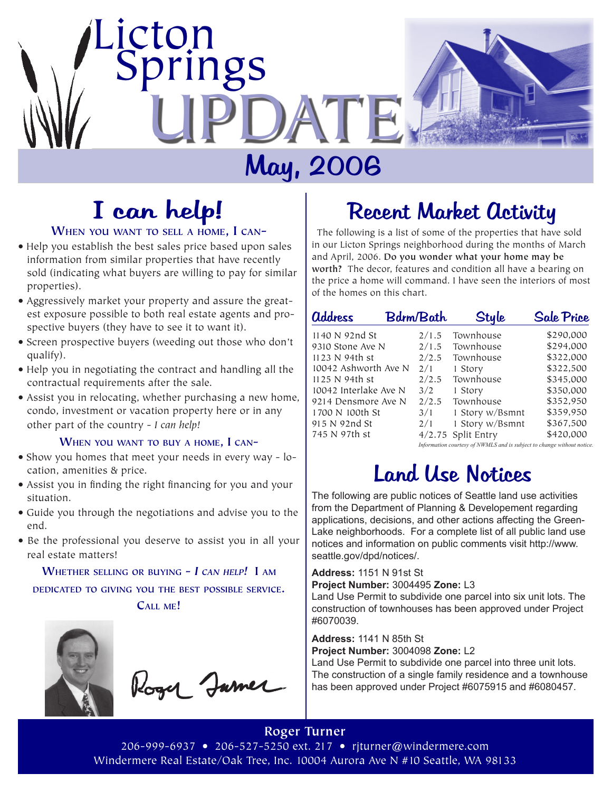

# May, 2006

# I can help!

#### **When you want to sell <sup>a</sup> home, I can-**

- Help you establish the best sales price based upon sales information from similar properties that have recently sold (indicating what buyers are willing to pay for similar properties).
- Aggressively market your property and assure the greatest exposure possible to both real estate agents and prospective buyers (they have to see it to want it).
- Screen prospective buyers (weeding out those who don't qualify).
- Help you in negotiating the contract and handling all the contractual requirements after the sale.
- Assist you in relocating, whether purchasing a new home, condo, investment or vacation property here or in any other part of the country - *I can help!*

#### **When you want to buy <sup>a</sup> home, I can-**

- Show you homes that meet your needs in every way location, amenities & price.
- Assist you in finding the right financing for you and your situation.
- Guide you through the negotiations and advise you to the end.
- Be the professional you deserve to assist you in all your real estate matters!

**Whether selling or buying -** *I can help!* **I am dedicated to giving you the best possible service.** 

**Call me!**



Rogy Jame

### Recent Market Activity

 The following is a list of some of the properties that have sold in our Licton Springs neighborhood during the months of March and April, 2006. **Do you wonder what your home may be worth?** The decor, features and condition all have a bearing on the price a home will command. I have seen the interiors of most of the homes on this chart.

| <b>address</b>        |  | <b>Bdrm/Bath</b>                                                       | Style              | <b>Sale Price</b> |
|-----------------------|--|------------------------------------------------------------------------|--------------------|-------------------|
| 1140 N 92nd St        |  | 2/1.5                                                                  | Townhouse          | \$290,000         |
| 9310 Stone Ave N      |  | 2/1.5                                                                  | Townhouse          | \$294,000         |
| 1123 N 94th st        |  | 2/2.5                                                                  | Townhouse          | \$322,000         |
| 10042 Ashworth Ave N  |  | 2/1                                                                    | 1 Story            | \$322,500         |
| 1125 N 94th st        |  | 2/2.5                                                                  | Townhouse          | \$345,000         |
| 10042 Interlake Ave N |  | 3/2                                                                    | 1 Story            | \$350,000         |
| 9214 Densmore Ave N   |  | 2/2.5                                                                  | Townhouse          | \$352.950         |
| 1700 N 100th St       |  | 3/1                                                                    | 1 Story w/Bsmnt    | \$359,950         |
| 915 N 92nd St         |  | 2/1                                                                    | 1 Story w/Bsmnt    | \$367,500         |
| 745 N 97th st         |  |                                                                        | 4/2.75 Split Entry | \$420,000         |
|                       |  | Information courtesy of NWMLS and is subject to change without notice. |                    |                   |

### Land Use Notices

The following are public notices of Seattle land use activities from the Department of Planning & Developement regarding applications, decisions, and other actions affecting the Green-Lake neighborhoods. For a complete list of all public land use notices and information on public comments visit http://www. seattle.gov/dpd/notices/.

#### **Address:** 1151 N 91st St

**Project Number:** 3004495 **Zone:** L3

Land Use Permit to subdivide one parcel into six unit lots. The construction of townhouses has been approved under Project #6070039.

#### **Address:** 1141 N 85th St

**Project Number:** 3004098 **Zone:** L2

Land Use Permit to subdivide one parcel into three unit lots. The construction of a single family residence and a townhouse has been approved under Project #6075915 and #6080457.

**Roger Turner** 206-999-6937 • 206-527-5250 ext. 217 • rjturner@windermere.com Windermere Real Estate/Oak Tree, Inc. 10004 Aurora Ave N #10 Seattle, WA 98133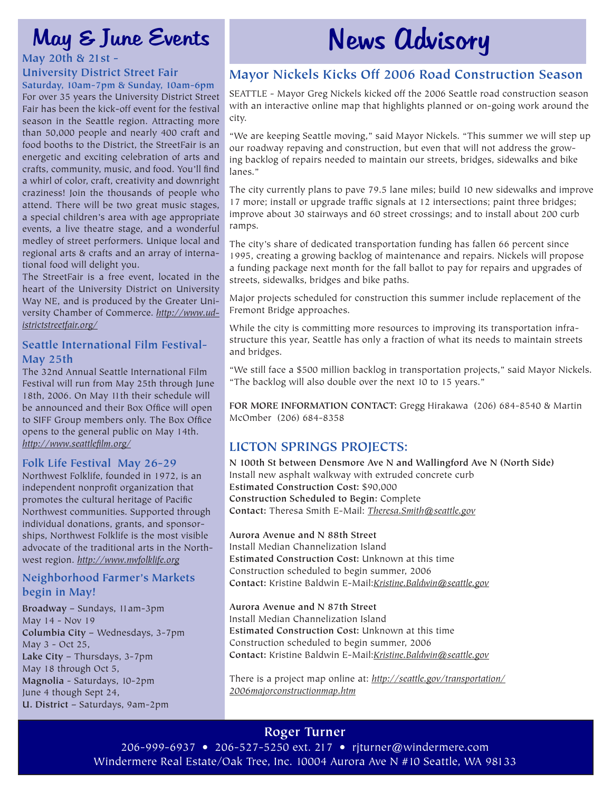### May & June Events

#### **University District Street Fair**

**Saturday, 10am-7pm & Sunday, 10am-6pm** For over 35 years the University District Street Fair has been the kick-off event for the festival season in the Seattle region. Attracting more than 50,000 people and nearly 400 craft and food booths to the District, the StreetFair is an energetic and exciting celebration of arts and crafts, community, music, and food. You'll find a whirl of color, craft, creativity and downright craziness! Join the thousands of people who attend. There will be two great music stages, a special children's area with age appropriate events, a live theatre stage, and a wonderful medley of street performers. Unique local and regional arts & crafts and an array of international food will delight you.

The StreetFair is a free event, located in the heart of the University District on University Way NE, and is produced by the Greater University Chamber of Commerce. *http://www.udistrictstreetfair.org/*

#### **Seattle International Film Festival-May 25th**

The 32nd Annual Seattle International Film Festival will run from May 25th through June 18th, 2006. On May 11th their schedule will be announced and their Box Office will open to SIFF Group members only. The Box Office opens to the general public on May 14th. *http://www.seattlefilm.org/*

#### **Folk Life Festival May 26-29**

Northwest Folklife, founded in 1972, is an independent nonprofit organization that promotes the cultural heritage of Pacific Northwest communities. Supported through individual donations, grants, and sponsorships, Northwest Folklife is the most visible advocate of the traditional arts in the Northwest region. *http://www.nwfolklife.org*

#### **Neighborhood Farmer's Markets begin in May!**

**Broadway** – Sundays, 11am-3pm May 14 - Nov 19 **Columbia City** – Wednesdays, 3-7pm May 3 - Oct 25, **Lake City** – Thursdays, 3-7pm May 18 through Oct 5, **Magnolia** - Saturdays, 10-2pm June 4 though Sept 24, **U. District** – Saturdays, 9am-2pm

# News Advisory **May 20th & 21st -**

### **Mayor Nickels Kicks Off 2006 Road Construction Season**

SEATTLE - Mayor Greg Nickels kicked off the 2006 Seattle road construction season with an interactive online map that highlights planned or on-going work around the city.

"We are keeping Seattle moving," said Mayor Nickels. "This summer we will step up our roadway repaving and construction, but even that will not address the growing backlog of repairs needed to maintain our streets, bridges, sidewalks and bike lanes."

The city currently plans to pave 79.5 lane miles; build 10 new sidewalks and improve 17 more; install or upgrade traffic signals at 12 intersections; paint three bridges; improve about 30 stairways and 60 street crossings; and to install about 200 curb ramps.

The city's share of dedicated transportation funding has fallen 66 percent since 1995, creating a growing backlog of maintenance and repairs. Nickels will propose a funding package next month for the fall ballot to pay for repairs and upgrades of streets, sidewalks, bridges and bike paths.

Major projects scheduled for construction this summer include replacement of the Fremont Bridge approaches.

While the city is committing more resources to improving its transportation infrastructure this year, Seattle has only a fraction of what its needs to maintain streets and bridges.

"We still face a \$500 million backlog in transportation projects," said Mayor Nickels. "The backlog will also double over the next 10 to 15 years."

**FOR MORE INFORMATION CONTACT:** Gregg Hirakawa (206) 684-8540 & Martin McOmber (206) 684-8358

#### **LICTON SPRINGS PROJECTS:**

**N 100th St between Densmore Ave N and Wallingford Ave N (North Side)** Install new asphalt walkway with extruded concrete curb **Estimated Construction Cost:** \$90,000 **Construction Scheduled to Begin:** Complete **Contact:** Theresa Smith E-Mail: *Theresa.Smith@seattle.gov*

#### **Aurora Avenue and N 88th Street**

Install Median Channelization Island **Estimated Construction Cost:** Unknown at this time Construction scheduled to begin summer, 2006 **Contact:** Kristine Baldwin E-Mail:*Kristine.Baldwin@seattle.gov*

#### **Aurora Avenue and N 87th Street**

Install Median Channelization Island **Estimated Construction Cost:** Unknown at this time Construction scheduled to begin summer, 2006 **Contact:** Kristine Baldwin E-Mail:*Kristine.Baldwin@seattle.gov*

There is a project map online at: *http://seattle.gov/transportation/ 2006majorconstructionmap.htm*

### **Roger Turner**

206-999-6937 • 206-527-5250 ext. 217 • rjturner@windermere.com Windermere Real Estate/Oak Tree, Inc. 10004 Aurora Ave N #10 Seattle, WA 98133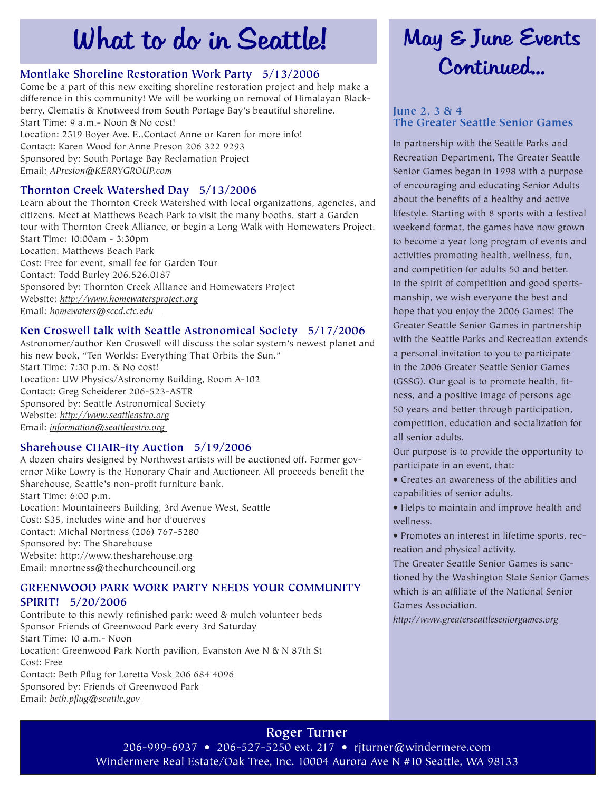## What to do in Seattle!

Come be a part of this new exciting shoreline restoration project and help make a difference in this community! We will be working on removal of Himalayan Blackberry, Clematis & Knotweed from South Portage Bay's beautiful shoreline. Start Time: 9 a.m.- Noon & No cost! Location: 2519 Boyer Ave. E.,Contact Anne or Karen for more info!

Contact: Karen Wood for Anne Preson 206 322 9293 Sponsored by: South Portage Bay Reclamation Project

Email: *APreston@KERRYGROUP.com* 

#### **Thornton Creek Watershed Day 5/13/2006**

Learn about the Thornton Creek Watershed with local organizations, agencies, and citizens. Meet at Matthews Beach Park to visit the many booths, start a Garden tour with Thornton Creek Alliance, or begin a Long Walk with Homewaters Project. Start Time: 10:00am - 3:30pm Location: Matthews Beach Park Cost: Free for event, small fee for Garden Tour Contact: Todd Burley 206.526.0187 Sponsored by: Thornton Creek Alliance and Homewaters Project Website: *http://www.homewatersproject.org* Email: *homewaters@sccd.ctc.edu* 

#### **Ken Croswell talk with Seattle Astronomical Society 5/17/2006**

Astronomer/author Ken Croswell will discuss the solar system's newest planet and his new book, "Ten Worlds: Everything That Orbits the Sun." Start Time: 7:30 p.m. & No cost! Location: UW Physics/Astronomy Building, Room A-102 Contact: Greg Scheiderer 206-523-ASTR Sponsored by: Seattle Astronomical Society Website: *http://www.seattleastro.org* Email: *information@seattleastro.org* 

#### **Sharehouse CHAIR-ity Auction 5/19/2006**

A dozen chairs designed by Northwest artists will be auctioned off. Former governor Mike Lowry is the Honorary Chair and Auctioneer. All proceeds benefit the Sharehouse, Seattle's non-profit furniture bank. Start Time: 6:00 p.m.

Location: Mountaineers Building, 3rd Avenue West, Seattle Cost: \$35, includes wine and hor d'ouerves Contact: Michal Nortness (206) 767-5280 Sponsored by: The Sharehouse Website: http://www.thesharehouse.org Email: mnortness@thechurchcouncil.org

#### **GREENWOOD PARK WORK PARTY NEEDS YOUR COMMUNITY SPIRIT! 5/20/2006**

Contribute to this newly refinished park: weed & mulch volunteer beds Sponsor Friends of Greenwood Park every 3rd Saturday Start Time: 10 a.m.- Noon Location: Greenwood Park North pavilion, Evanston Ave N & N 87th St Cost: Free Contact: Beth Pflug for Loretta Vosk 206 684 4096 Sponsored by: Friends of Greenwood Park Email: *beth.pflug@seattle.gov* 

### May & June Events Montlake Shoreline Restoration Work Party 5/13/2006 Continued...

#### **June 2, 3 & 4 The Greater Seattle Senior Games**

In partnership with the Seattle Parks and Recreation Department, The Greater Seattle Senior Games began in 1998 with a purpose of encouraging and educating Senior Adults about the benefits of a healthy and active lifestyle. Starting with 8 sports with a festival weekend format, the games have now grown to become a year long program of events and activities promoting health, wellness, fun, and competition for adults 50 and better. In the spirit of competition and good sportsmanship, we wish everyone the best and hope that you enjoy the 2006 Games! The Greater Seattle Senior Games in partnership with the Seattle Parks and Recreation extends a personal invitation to you to participate in the 2006 Greater Seattle Senior Games (GSSG). Our goal is to promote health, fitness, and a positive image of persons age 50 years and better through participation, competition, education and socialization for all senior adults.

Our purpose is to provide the opportunity to participate in an event, that:

• Creates an awareness of the abilities and capabilities of senior adults.

• Helps to maintain and improve health and wellness.

• Promotes an interest in lifetime sports, recreation and physical activity.

The Greater Seattle Senior Games is sanctioned by the Washington State Senior Games which is an affiliate of the National Senior Games Association.

*http://www.greaterseattleseniorgames.org*

#### **Roger Turner**

206-999-6937 • 206-527-5250 ext. 217 • rjturner@windermere.com Windermere Real Estate/Oak Tree, Inc. 10004 Aurora Ave N #10 Seattle, WA 98133